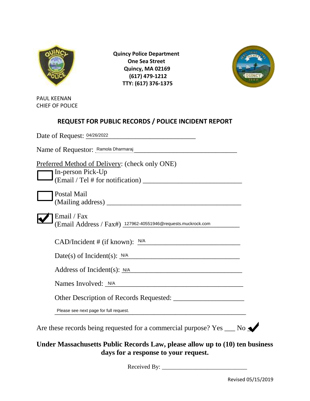

 **Quincy Police Department One Sea Street Quincy, MA 02169 (617) 479-1212 TTY: (617) 376-1375**



PAUL KEENAN CHIEF OF POLICE

## **REQUEST FOR PUBLIC RECORDS / POLICE INCIDENT REPORT**

| Preferred Method of Delivery: (check only ONE)                                                                                                                                                                                       |  |
|--------------------------------------------------------------------------------------------------------------------------------------------------------------------------------------------------------------------------------------|--|
| In-person Pick-Up                                                                                                                                                                                                                    |  |
| Postal Mail                                                                                                                                                                                                                          |  |
|                                                                                                                                                                                                                                      |  |
| Email / Fax                                                                                                                                                                                                                          |  |
| (Email Address / Fax#) 127962-40551946@requests.muckrock.com                                                                                                                                                                         |  |
|                                                                                                                                                                                                                                      |  |
| $CAD/Incident \# (if known): \frac{N/A}{I}$                                                                                                                                                                                          |  |
| Date(s) of Incident(s): $N/A$                                                                                                                                                                                                        |  |
| Address of Incident(s): <u>N/A</u>                                                                                                                                                                                                   |  |
| Names Involved: <u>N/A expression and the set of the set of the set of the set of the set of the set of the set of the set of the set of the set of the set of the set of the set of the set of the set of the set of the set of</u> |  |
|                                                                                                                                                                                                                                      |  |
| Please see next page for full request.                                                                                                                                                                                               |  |

## **Under Massachusetts Public Records Law, please allow up to (10) ten business days for a response to your request.**

Received By: \_\_\_\_\_\_\_\_\_\_\_\_\_\_\_\_\_\_\_\_\_\_\_\_\_\_\_\_